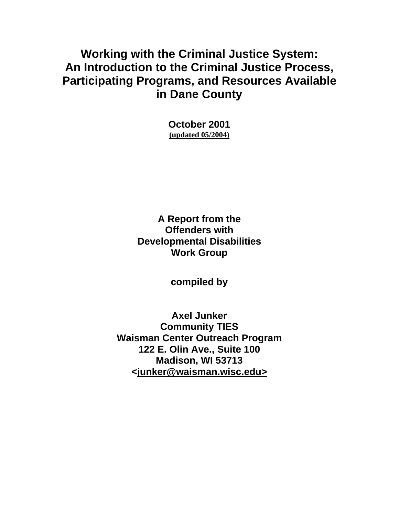# **Working with the Criminal Justice System: An Introduction to the Criminal Justice Process, Participating Programs, and Resources Available in Dane County**

**October 2001 (updated 05/2004)**

**A Report from the Offenders with Developmental Disabilities Work Group**

**compiled by** 

**Axel Junker Community TIES Waisman Center Outreach Program 122 E. Olin Ave., Suite 100 Madison, WI 53713 <[junker@waisman.wisc.edu>](mailto:<junker@waisman.wisc.edu>)**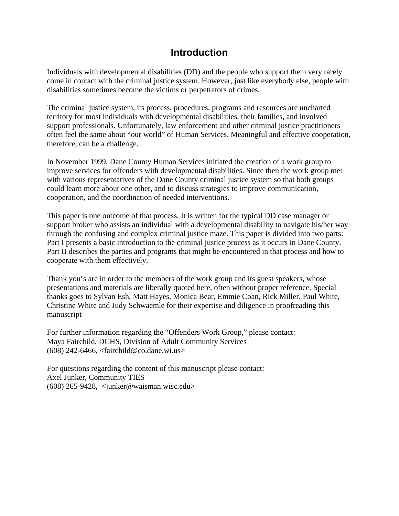# **Introduction**

Individuals with developmental disabilities (DD) and the people who support them very rarely come in contact with the criminal justice system. However, just like everybody else, people with disabilities sometimes become the victims or perpetrators of crimes.

The criminal justice system, its process, procedures, programs and resources are uncharted territory for most individuals with developmental disabilities, their families, and involved support professionals. Unfortunately, law enforcement and other criminal justice practitioners often feel the same about "our world" of Human Services. Meaningful and effective cooperation, therefore, can be a challenge.

In November 1999, Dane County Human Services initiated the creation of a work group to improve services for offenders with developmental disabilities. Since then the work group met with various representatives of the Dane County criminal justice system so that both groups could learn more about one other, and to discuss strategies to improve communication, cooperation, and the coordination of needed interventions.

This paper is one outcome of that process. It is written for the typical DD case manager or support broker who assists an individual with a developmental disability to navigate his/her way through the confusing and complex criminal justice maze. This paper is divided into two parts: Part I presents a basic introduction to the criminal justice process as it occurs in Dane County. Part II describes the parties and programs that might be encountered in that process and how to cooperate with them effectively.

Thank you's are in order to the members of the work group and its guest speakers, whose presentations and materials are liberally quoted here, often without proper reference. Special thanks goes to Sylvan Esh, Matt Hayes, Monica Bear, Emmie Coan, Rick Miller, Paul White, Christine White and Judy Schwaemle for their expertise and diligence in proofreading this manuscript

For further information regarding the "Offenders Work Group," please contact: Maya Fairchild, DCHS, Division of Adult Community Services (608) 242-6466, <[fairchild@co.dane.wi.us>](mailto:<fairchild@co.dane.wi.us>)

For questions regarding the content of this manuscript please contact: Axel Junker, Community TIES (608) 265-9428, <[junker@waisman.wisc.edu>](mailto:<junker@waisman.wisc.edu>)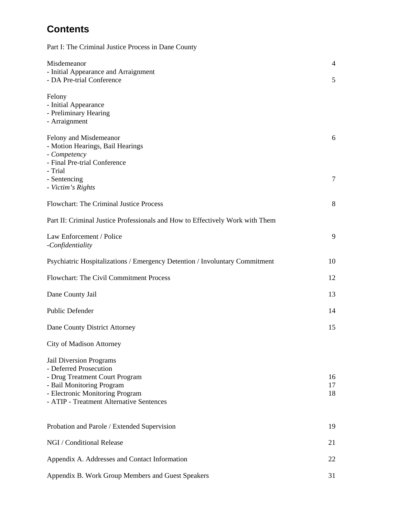# **Contents**

Part I: The Criminal Justice Process in Dane County

| Misdemeanor<br>- Initial Appearance and Arraignment                                                                                                                                                    | $\overline{4}$ |
|--------------------------------------------------------------------------------------------------------------------------------------------------------------------------------------------------------|----------------|
| - DA Pre-trial Conference                                                                                                                                                                              | 5              |
| Felony<br>- Initial Appearance<br>- Preliminary Hearing<br>- Arraignment                                                                                                                               |                |
| Felony and Misdemeanor<br>- Motion Hearings, Bail Hearings<br>- Competency<br>- Final Pre-trial Conference<br>- Trial                                                                                  | 6              |
| - Sentencing<br>- Victim's Rights                                                                                                                                                                      | 7              |
| <b>Flowchart: The Criminal Justice Process</b>                                                                                                                                                         | 8              |
| Part II: Criminal Justice Professionals and How to Effectively Work with Them                                                                                                                          |                |
| Law Enforcement / Police<br>-Confidentiality                                                                                                                                                           | 9              |
| Psychiatric Hospitalizations / Emergency Detention / Involuntary Commitment                                                                                                                            | 10             |
| Flowchart: The Civil Commitment Process                                                                                                                                                                | 12             |
| Dane County Jail                                                                                                                                                                                       | 13             |
| <b>Public Defender</b>                                                                                                                                                                                 | 14             |
| Dane County District Attorney                                                                                                                                                                          | 15             |
| <b>City of Madison Attorney</b>                                                                                                                                                                        |                |
| <b>Jail Diversion Programs</b><br>- Deferred Prosecution<br>- Drug Treatment Court Program<br>- Bail Monitoring Program<br>- Electronic Monitoring Program<br>- ATIP - Treatment Alternative Sentences | 16<br>17<br>18 |
| Probation and Parole / Extended Supervision                                                                                                                                                            | 19             |
| NGI / Conditional Release                                                                                                                                                                              | 21             |
| Appendix A. Addresses and Contact Information                                                                                                                                                          | 22             |
| Appendix B. Work Group Members and Guest Speakers                                                                                                                                                      | 31             |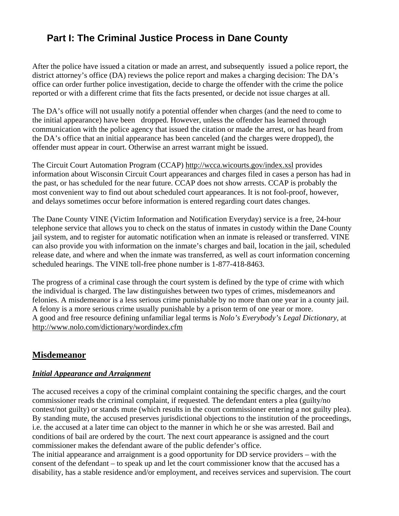# **Part I: The Criminal Justice Process in Dane County**

After the police have issued a citation or made an arrest, and subsequently issued a police report, the district attorney's office (DA) reviews the police report and makes a charging decision: The DA's office can order further police investigation, decide to charge the offender with the crime the police reported or with a different crime that fits the facts presented, or decide not issue charges at all.

The DA's office will not usually notify a potential offender when charges (and the need to come to the initial appearance) have been dropped. However, unless the offender has learned through communication with the police agency that issued the citation or made the arrest, or has heard from the DA's office that an initial appearance has been canceled (and the charges were dropped), the offender must appear in court. Otherwise an arrest warrant might be issued.

The Circuit Court Automation Program (CCAP) http://wcca.wicourts.gov/index.xsl provides information about Wisconsin Circuit Court appearances and charges filed in cases a person has had in the past, or has scheduled for the near future. CCAP does not show arrests. CCAP is probably the most convenient way to find out about scheduled court appearances. It is not fool-proof, however, and delays sometimes occur before information is entered regarding court dates changes.

The Dane County VINE (Victim Information and Notification Everyday) service is a free, 24-hour telephone service that allows you to check on the status of inmates in custody within the Dane County jail system, and to register for automatic notification when an inmate is released or transferred. VINE can also provide you with information on the inmate's charges and bail, location in the jail, scheduled release date, and where and when the inmate was transferred, as well as court information concerning scheduled hearings. The VINE toll-free phone number is 1-877-418-8463.

The progress of a criminal case through the court system is defined by the type of crime with which the individual is charged. The law distinguishes between two types of crimes, misdemeanors and felonies. A misdemeanor is a less serious crime punishable by no more than one year in a county jail. A felony is a more serious crime usually punishable by a prison term of one year or more. A good and free resource defining unfamiliar legal terms is *Nolo's Everybody's Legal Dictionary,* at http://www.nolo.com/dictionary/wordindex.cfm

## **Misdemeanor**

### *Initial Appearance and Arraignment*

The accused receives a copy of the criminal complaint containing the specific charges, and the court commissioner reads the criminal complaint, if requested. The defendant enters a plea (guilty/no contest/not guilty) or stands mute (which results in the court commissioner entering a not guilty plea). By standing mute, the accused preserves jurisdictional objections to the institution of the proceedings, i.e. the accused at a later time can object to the manner in which he or she was arrested. Bail and conditions of bail are ordered by the court. The next court appearance is assigned and the court commissioner makes the defendant aware of the public defender's office.

The initial appearance and arraignment is a good opportunity for DD service providers – with the consent of the defendant – to speak up and let the court commissioner know that the accused has a disability, has a stable residence and/or employment, and receives services and supervision. The court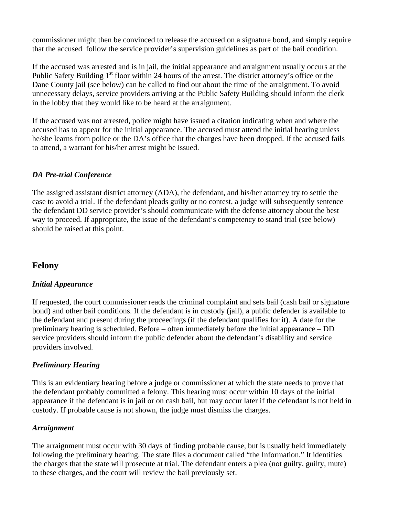commissioner might then be convinced to release the accused on a signature bond, and simply require that the accused follow the service provider's supervision guidelines as part of the bail condition.

If the accused was arrested and is in jail, the initial appearance and arraignment usually occurs at the Public Safety Building  $1<sup>st</sup>$  floor within 24 hours of the arrest. The district attorney's office or the Dane County jail (see below) can be called to find out about the time of the arraignment. To avoid unnecessary delays, service providers arriving at the Public Safety Building should inform the clerk in the lobby that they would like to be heard at the arraignment.

If the accused was not arrested, police might have issued a citation indicating when and where the accused has to appear for the initial appearance. The accused must attend the initial hearing unless he/she learns from police or the DA's office that the charges have been dropped. If the accused fails to attend, a warrant for his/her arrest might be issued.

### *DA Pre-trial Conference*

The assigned assistant district attorney (ADA), the defendant, and his/her attorney try to settle the case to avoid a trial. If the defendant pleads guilty or no contest, a judge will subsequently sentence the defendant DD service provider's should communicate with the defense attorney about the best way to proceed. If appropriate, the issue of the defendant's competency to stand trial (see below) should be raised at this point.

### **Felony**

#### *Initial Appearance*

If requested, the court commissioner reads the criminal complaint and sets bail (cash bail or signature bond) and other bail conditions. If the defendant is in custody (jail), a public defender is available to the defendant and present during the proceedings (if the defendant qualifies for it). A date for the preliminary hearing is scheduled. Before – often immediately before the initial appearance – DD service providers should inform the public defender about the defendant's disability and service providers involved.

### *Preliminary Hearing*

This is an evidentiary hearing before a judge or commissioner at which the state needs to prove that the defendant probably committed a felony. This hearing must occur within 10 days of the initial appearance if the defendant is in jail or on cash bail, but may occur later if the defendant is not held in custody. If probable cause is not shown, the judge must dismiss the charges.

#### *Arraignment*

The arraignment must occur with 30 days of finding probable cause, but is usually held immediately following the preliminary hearing. The state files a document called "the Information." It identifies the charges that the state will prosecute at trial. The defendant enters a plea (not guilty, guilty, mute) to these charges, and the court will review the bail previously set.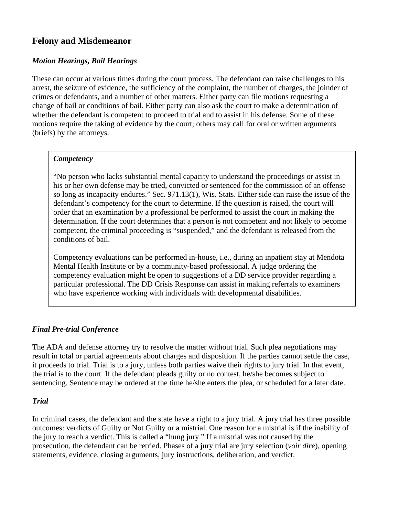# **Felony and Misdemeanor**

### *Motion Hearings, Bail Hearings*

These can occur at various times during the court process. The defendant can raise challenges to his arrest, the seizure of evidence, the sufficiency of the complaint, the number of charges, the joinder of crimes or defendants, and a number of other matters. Either party can file motions requesting a change of bail or conditions of bail. Either party can also ask the court to make a determination of whether the defendant is competent to proceed to trial and to assist in his defense. Some of these motions require the taking of evidence by the court; others may call for oral or written arguments (briefs) by the attorneys.

#### *Competency*

"No person who lacks substantial mental capacity to understand the proceedings or assist in his or her own defense may be tried, convicted or sentenced for the commission of an offense so long as incapacity endures." Sec. 971.13(1), Wis. Stats. Either side can raise the issue of the defendant's competency for the court to determine. If the question is raised, the court will order that an examination by a professional be performed to assist the court in making the determination. If the court determines that a person is not competent and not likely to become competent, the criminal proceeding is "suspended," and the defendant is released from the conditions of bail.

Competency evaluations can be performed in-house, i.e., during an inpatient stay at Mendota Mental Health Institute or by a community-based professional. A judge ordering the competency evaluation might be open to suggestions of a DD service provider regarding a particular professional. The DD Crisis Response can assist in making referrals to examiners who have experience working with individuals with developmental disabilities.

### *Final Pre-trial Conference*

The ADA and defense attorney try to resolve the matter without trial. Such plea negotiations may result in total or partial agreements about charges and disposition. If the parties cannot settle the case, it proceeds to trial. Trial is to a jury, unless both parties waive their rights to jury trial. In that event, the trial is to the court. If the defendant pleads guilty or no contest, he/she becomes subject to sentencing. Sentence may be ordered at the time he/she enters the plea, or scheduled for a later date.

### *Trial*

In criminal cases, the defendant and the state have a right to a jury trial. A jury trial has three possible outcomes: verdicts of Guilty or Not Guilty or a mistrial. One reason for a mistrial is if the inability of the jury to reach a verdict. This is called a "hung jury." If a mistrial was not caused by the prosecution, the defendant can be retried. Phases of a jury trial are jury selection (*voir dire*), opening statements, evidence, closing arguments, jury instructions, deliberation, and verdict.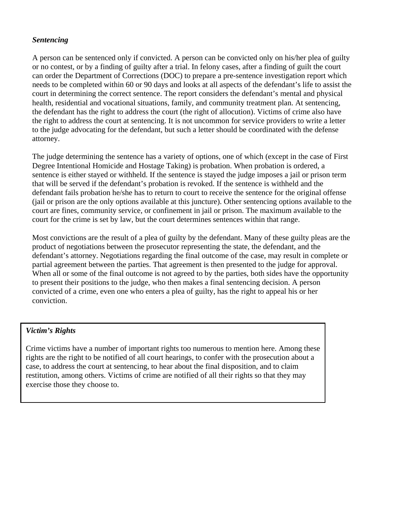### *Sentencing*

A person can be sentenced only if convicted. A person can be convicted only on his/her plea of guilty or no contest, or by a finding of guilty after a trial. In felony cases, after a finding of guilt the court can order the Department of Corrections (DOC) to prepare a pre-sentence investigation report which needs to be completed within 60 or 90 days and looks at all aspects of the defendant's life to assist the court in determining the correct sentence. The report considers the defendant's mental and physical health, residential and vocational situations, family, and community treatment plan. At sentencing, the defendant has the right to address the court (the right of allocution). Victims of crime also have the right to address the court at sentencing. It is not uncommon for service providers to write a letter to the judge advocating for the defendant, but such a letter should be coordinated with the defense attorney.

The judge determining the sentence has a variety of options, one of which (except in the case of First Degree Intentional Homicide and Hostage Taking) is probation. When probation is ordered, a sentence is either stayed or withheld. If the sentence is stayed the judge imposes a jail or prison term that will be served if the defendant's probation is revoked. If the sentence is withheld and the defendant fails probation he/she has to return to court to receive the sentence for the original offense (jail or prison are the only options available at this juncture). Other sentencing options available to the court are fines, community service, or confinement in jail or prison. The maximum available to the court for the crime is set by law, but the court determines sentences within that range.

Most convictions are the result of a plea of guilty by the defendant. Many of these guilty pleas are the product of negotiations between the prosecutor representing the state, the defendant, and the defendant's attorney. Negotiations regarding the final outcome of the case, may result in complete or partial agreement between the parties. That agreement is then presented to the judge for approval. When all or some of the final outcome is not agreed to by the parties, both sides have the opportunity to present their positions to the judge, who then makes a final sentencing decision. A person convicted of a crime, even one who enters a plea of guilty, has the right to appeal his or her conviction.

#### *Victim's Rights*

Crime victims have a number of important rights too numerous to mention here. Among these rights are the right to be notified of all court hearings, to confer with the prosecution about a case, to address the court at sentencing, to hear about the final disposition, and to claim restitution, among others. Victims of crime are notified of all their rights so that they may exercise those they choose to.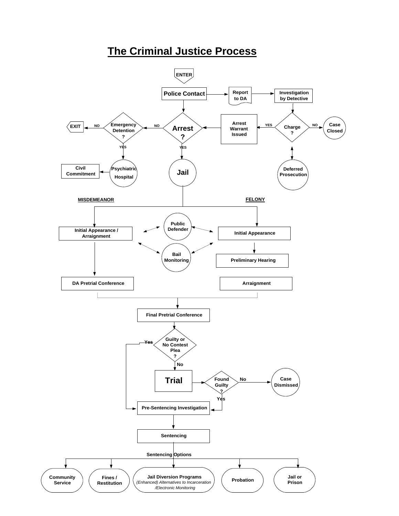# **The Criminal Justice Process**

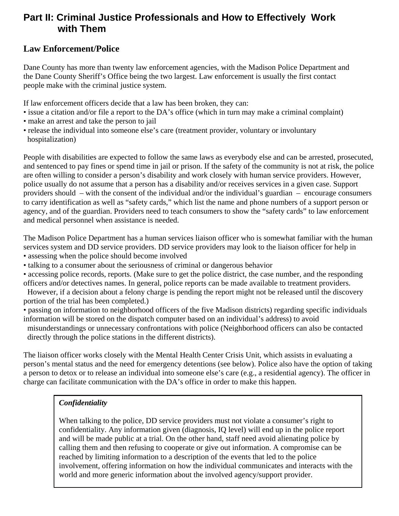# **Part II: Criminal Justice Professionals and How to Effectively Work with Them**

# **Law Enforcement/Police**

Dane County has more than twenty law enforcement agencies, with the Madison Police Department and the Dane County Sheriff's Office being the two largest. Law enforcement is usually the first contact people make with the criminal justice system.

If law enforcement officers decide that a law has been broken, they can:

- issue a citation and/or file a report to the DA's office (which in turn may make a criminal complaint)
- make an arrest and take the person to jail
- release the individual into someone else's care (treatment provider, voluntary or involuntary hospitalization)

People with disabilities are expected to follow the same laws as everybody else and can be arrested, prosecuted, and sentenced to pay fines or spend time in jail or prison. If the safety of the community is not at risk, the police are often willing to consider a person's disability and work closely with human service providers. However, police usually do not assume that a person has a disability and/or receives services in a given case. Support providers should – with the consent of the individual and/or the individual's guardian – encourage consumers to carry identification as well as "safety cards," which list the name and phone numbers of a support person or agency, and of the guardian. Providers need to teach consumers to show the "safety cards" to law enforcement and medical personnel when assistance is needed.

The Madison Police Department has a human services liaison officer who is somewhat familiar with the human services system and DD service providers. DD service providers may look to the liaison officer for help in • assessing when the police should become involved

• talking to a consumer about the seriousness of criminal or dangerous behavior

• accessing police records, reports. (Make sure to get the police district, the case number, and the responding officers and/or detectives names. In general, police reports can be made available to treatment providers.

 However, if a decision about a felony charge is pending the report might not be released until the discovery portion of the trial has been completed.)

- passing on information to neighborhood officers of the five Madison districts) regarding specific individuals information will be stored on the dispatch computer based on an individual's address) to avoid misunderstandings or unnecessary confrontations with police (Neighborhood officers can also be contacted
- directly through the police stations in the different districts).

The liaison officer works closely with the Mental Health Center Crisis Unit, which assists in evaluating a person's mental status and the need for emergency detentions (see below). Police also have the option of taking a person to detox or to release an individual into someone else's care (e.g., a residential agency). The officer in charge can facilitate communication with the DA's office in order to make this happen.

## *Confidentiality*

When talking to the police, DD service providers must not violate a consumer's right to confidentiality. Any information given (diagnosis, IQ level) will end up in the police report and will be made public at a trial. On the other hand, staff need avoid alienating police by calling them and then refusing to cooperate or give out information. A compromise can be reached by limiting information to a description of the events that led to the police involvement, offering information on how the individual communicates and interacts with the world and more generic information about the involved agency/support provider.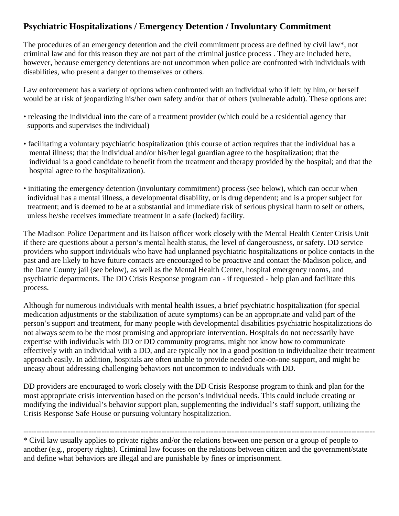# **Psychiatric Hospitalizations / Emergency Detention / Involuntary Commitment**

The procedures of an emergency detention and the civil commitment process are defined by civil law\*, not criminal law and for this reason they are not part of the criminal justice process . They are included here, however, because emergency detentions are not uncommon when police are confronted with individuals with disabilities, who present a danger to themselves or others.

Law enforcement has a variety of options when confronted with an individual who if left by him, or herself would be at risk of jeopardizing his/her own safety and/or that of others (vulnerable adult). These options are:

- releasing the individual into the care of a treatment provider (which could be a residential agency that supports and supervises the individual)
- facilitating a voluntary psychiatric hospitalization (this course of action requires that the individual has a mental illness; that the individual and/or his/her legal guardian agree to the hospitalization; that the individual is a good candidate to benefit from the treatment and therapy provided by the hospital; and that the hospital agree to the hospitalization).
- initiating the emergency detention (involuntary commitment) process (see below), which can occur when individual has a mental illness, a developmental disability, or is drug dependent; and is a proper subject for treatment; and is deemed to be at a substantial and immediate risk of serious physical harm to self or others, unless he/she receives immediate treatment in a safe (locked) facility.

The Madison Police Department and its liaison officer work closely with the Mental Health Center Crisis Unit if there are questions about a person's mental health status, the level of dangerousness, or safety. DD service providers who support individuals who have had unplanned psychiatric hospitalizations or police contacts in the past and are likely to have future contacts are encouraged to be proactive and contact the Madison police, and the Dane County jail (see below), as well as the Mental Health Center, hospital emergency rooms, and psychiatric departments. The DD Crisis Response program can - if requested - help plan and facilitate this process.

Although for numerous individuals with mental health issues, a brief psychiatric hospitalization (for special medication adjustments or the stabilization of acute symptoms) can be an appropriate and valid part of the person's support and treatment, for many people with developmental disabilities psychiatric hospitalizations do not always seem to be the most promising and appropriate intervention. Hospitals do not necessarily have expertise with individuals with DD or DD community programs, might not know how to communicate effectively with an individual with a DD, and are typically not in a good position to individualize their treatment approach easily. In addition, hospitals are often unable to provide needed one-on-one support, and might be uneasy about addressing challenging behaviors not uncommon to individuals with DD.

DD providers are encouraged to work closely with the DD Crisis Response program to think and plan for the most appropriate crisis intervention based on the person's individual needs. This could include creating or modifying the individual's behavior support plan, supplementing the individual's staff support, utilizing the Crisis Response Safe House or pursuing voluntary hospitalization.

---------------------------------------------------------------------------------------------------------------------------------------

\* Civil law usually applies to private rights and/or the relations between one person or a group of people to another (e.g., property rights). Criminal law focuses on the relations between citizen and the government/state and define what behaviors are illegal and are punishable by fines or imprisonment.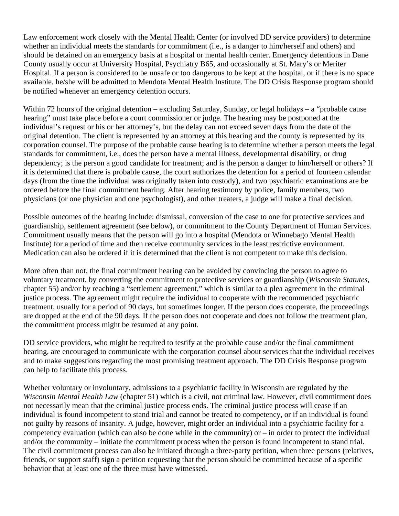Law enforcement work closely with the Mental Health Center (or involved DD service providers) to determine whether an individual meets the standards for commitment (i.e., is a danger to him/herself and others) and should be detained on an emergency basis at a hospital or mental health center. Emergency detentions in Dane County usually occur at University Hospital, Psychiatry B65, and occasionally at St. Mary's or Meriter Hospital. If a person is considered to be unsafe or too dangerous to be kept at the hospital, or if there is no space available, he/she will be admitted to Mendota Mental Health Institute. The DD Crisis Response program should be notified whenever an emergency detention occurs.

Within 72 hours of the original detention – excluding Saturday, Sunday, or legal holidays – a "probable cause" hearing" must take place before a court commissioner or judge. The hearing may be postponed at the individual's request or his or her attorney's, but the delay can not exceed seven days from the date of the original detention. The client is represented by an attorney at this hearing and the county is represented by its corporation counsel. The purpose of the probable cause hearing is to determine whether a person meets the legal standards for commitment, i.e., does the person have a mental illness, developmental disability, or drug dependency; is the person a good candidate for treatment; and is the person a danger to him/herself or others? If it is determined that there is probable cause, the court authorizes the detention for a period of fourteen calendar days (from the time the individual was originally taken into custody), and two psychiatric examinations are be ordered before the final commitment hearing. After hearing testimony by police, family members, two physicians (or one physician and one psychologist), and other treaters, a judge will make a final decision.

Possible outcomes of the hearing include: dismissal, conversion of the case to one for protective services and guardianship, settlement agreement (see below), or commitment to the County Department of Human Services. Commitment usually means that the person will go into a hospital (Mendota or Winnebago Mental Health Institute) for a period of time and then receive community services in the least restrictive environment. Medication can also be ordered if it is determined that the client is not competent to make this decision.

More often than not, the final commitment hearing can be avoided by convincing the person to agree to voluntary treatment, by converting the commitment to protective services or guardianship (*Wisconsin Statutes,* chapter 55) and/or by reaching a "settlement agreement," which is similar to a plea agreement in the criminal justice process. The agreement might require the individual to cooperate with the recommended psychiatric treatment, usually for a period of 90 days, but sometimes longer. If the person does cooperate, the proceedings are dropped at the end of the 90 days. If the person does not cooperate and does not follow the treatment plan, the commitment process might be resumed at any point.

DD service providers, who might be required to testify at the probable cause and/or the final commitment hearing, are encouraged to communicate with the corporation counsel about services that the individual receives and to make suggestions regarding the most promising treatment approach. The DD Crisis Response program can help to facilitate this process.

Whether voluntary or involuntary, admissions to a psychiatric facility in Wisconsin are regulated by the *Wisconsin Mental Health Law* (chapter 51) which is a civil, not criminal law. However, civil commitment does not necessarily mean that the criminal justice process ends. The criminal justice process will cease if an individual is found incompetent to stand trial and cannot be treated to competency, or if an individual is found not guilty by reasons of insanity. A judge, however, might order an individual into a psychiatric facility for a competency evaluation (which can also be done while in the community) or – in order to protect the individual and/or the community – initiate the commitment process when the person is found incompetent to stand trial. The civil commitment process can also be initiated through a three-party petition, when three persons (relatives, friends, or support staff) sign a petition requesting that the person should be committed because of a specific behavior that at least one of the three must have witnessed.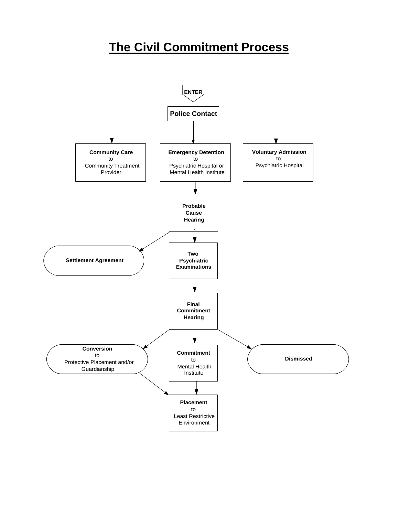# **The Civil Commitment Process**

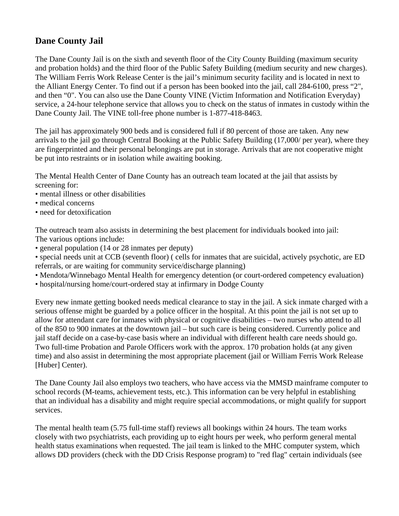# **Dane County Jail**

The Dane County Jail is on the sixth and seventh floor of the City County Building (maximum security and probation holds) and the third floor of the Public Safety Building (medium security and new charges). The William Ferris Work Release Center is the jail's minimum security facility and is located in next to the Alliant Energy Center. To find out if a person has been booked into the jail, call 284-6100, press "2", and then "0". You can also use the Dane County VINE (Victim Information and Notification Everyday) service, a 24-hour telephone service that allows you to check on the status of inmates in custody within the Dane County Jail. The VINE toll-free phone number is 1-877-418-8463.

The jail has approximately 900 beds and is considered full if 80 percent of those are taken. Any new arrivals to the jail go through Central Booking at the Public Safety Building (17,000/ per year), where they are fingerprinted and their personal belongings are put in storage. Arrivals that are not cooperative might be put into restraints or in isolation while awaiting booking.

The Mental Health Center of Dane County has an outreach team located at the jail that assists by screening for:

- mental illness or other disabilities
- medical concerns
- need for detoxification

The outreach team also assists in determining the best placement for individuals booked into jail: The various options include:

• general population (14 or 28 inmates per deputy)

• special needs unit at CCB (seventh floor) ( cells for inmates that are suicidal, actively psychotic, are ED referrals, or are waiting for community service/discharge planning)

- Mendota/Winnebago Mental Health for emergency detention (or court-ordered competency evaluation)
- hospital/nursing home/court-ordered stay at infirmary in Dodge County

Every new inmate getting booked needs medical clearance to stay in the jail. A sick inmate charged with a serious offense might be guarded by a police officer in the hospital. At this point the jail is not set up to allow for attendant care for inmates with physical or cognitive disabilities – two nurses who attend to all of the 850 to 900 inmates at the downtown jail – but such care is being considered. Currently police and jail staff decide on a case-by-case basis where an individual with different health care needs should go. Two full-time Probation and Parole Officers work with the approx. 170 probation holds (at any given time) and also assist in determining the most appropriate placement (jail or William Ferris Work Release [Huber] Center).

The Dane County Jail also employs two teachers, who have access via the MMSD mainframe computer to school records (M-teams, achievement tests, etc.). This information can be very helpful in establishing that an individual has a disability and might require special accommodations, or might qualify for support services.

The mental health team (5.75 full-time staff) reviews all bookings within 24 hours. The team works closely with two psychiatrists, each providing up to eight hours per week, who perform general mental health status examinations when requested. The jail team is linked to the MHC computer system, which allows DD providers (check with the DD Crisis Response program) to "red flag" certain individuals (see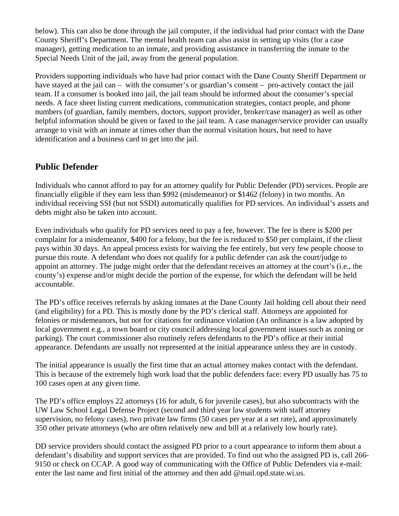below). This can also be done through the jail computer, if the individual had prior contact with the Dane County Sheriff's Department. The mental health team can also assist in setting up visits (for a case manager), getting medication to an inmate, and providing assistance in transferring the inmate to the Special Needs Unit of the jail, away from the general population.

Providers supporting individuals who have had prior contact with the Dane County Sheriff Department or have stayed at the jail can – with the consumer's or guardian's consent – pro-actively contact the jail team. If a consumer is booked into jail, the jail team should be informed about the consumer's special needs. A face sheet listing current medications, communication strategies, contact people, and phone numbers (of guardian, family members, doctors, support provider, broker/case manager) as well as other helpful information should be given or faxed to the jail team. A case manager/service provider can usually arrange to visit with an inmate at times other than the normal visitation hours, but need to have identification and a business card to get into the jail.

## **Public Defender**

Individuals who cannot afford to pay for an attorney qualify for Public Defender (PD) services. People are financially eligible if they earn less than \$992 (misdemeanor) or \$1462 (felony) in two months. An individual receiving SSI (but not SSDI) automatically qualifies for PD services. An individual's assets and debts might also be taken into account.

Even individuals who qualify for PD services need to pay a fee, however. The fee is there is \$200 per complaint for a misdemeanor, \$400 for a felony, but the fee is reduced to \$50 per complaint, if the client pays within 30 days. An appeal process exists for waiving the fee entirely, but very few people choose to pursue this route. A defendant who does not qualify for a public defender can ask the court/judge to appoint an attorney. The judge might order that the defendant receives an attorney at the court's (i.e., the county's) expense and/or might decide the portion of the expense, for which the defendant will be held accountable.

The PD's office receives referrals by asking inmates at the Dane County Jail holding cell about their need (and eligibility) for a PD. This is mostly done by the PD's clerical staff. Attorneys are appointed for felonies or misdemeanors, but not for citations for ordinance violation (An ordinance is a law adopted by local government e.g., a town board or city council addressing local government issues such as zoning or parking). The court commissioner also routinely refers defendants to the PD's office at their initial appearance. Defendants are usually not represented at the initial appearance unless they are in custody.

The initial appearance is usually the first time that an actual attorney makes contact with the defendant. This is because of the extremely high work load that the public defenders face: every PD usually has 75 to 100 cases open at any given time.

The PD's office employs 22 attorneys (16 for adult, 6 for juvenile cases), but also subcontracts with the UW Law School Legal Defense Project (second and third year law students with staff attorney supervision, no felony cases), two private law firms (50 cases per year at a set rate), and approximately 350 other private attorneys (who are often relatively new and bill at a relatively low hourly rate).

DD service providers should contact the assigned PD prior to a court appearance to inform them about a defendant's disability and support services that are provided. To find out who the assigned PD is, call 266- 9150 or check on CCAP. A good way of communicating with the Office of Public Defenders via e-mail: enter the last name and first initial of the attorney and then add @mail.opd.state.wi.us.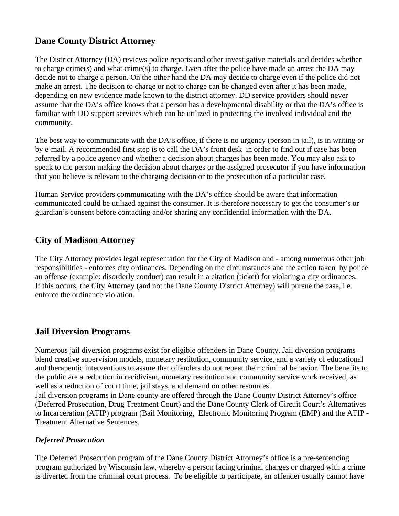# **Dane County District Attorney**

The District Attorney (DA) reviews police reports and other investigative materials and decides whether to charge crime(s) and what crime(s) to charge. Even after the police have made an arrest the DA may decide not to charge a person. On the other hand the DA may decide to charge even if the police did not make an arrest. The decision to charge or not to charge can be changed even after it has been made, depending on new evidence made known to the district attorney. DD service providers should never assume that the DA's office knows that a person has a developmental disability or that the DA's office is familiar with DD support services which can be utilized in protecting the involved individual and the community.

The best way to communicate with the DA's office, if there is no urgency (person in jail), is in writing or by e-mail. A recommended first step is to call the DA's front desk in order to find out if case has been referred by a police agency and whether a decision about charges has been made. You may also ask to speak to the person making the decision about charges or the assigned prosecutor if you have information that you believe is relevant to the charging decision or to the prosecution of a particular case.

Human Service providers communicating with the DA's office should be aware that information communicated could be utilized against the consumer. It is therefore necessary to get the consumer's or guardian's consent before contacting and/or sharing any confidential information with the DA.

## **City of Madison Attorney**

The City Attorney provides legal representation for the City of Madison and - among numerous other job responsibilities - enforces city ordinances. Depending on the circumstances and the action taken by police an offense (example: disorderly conduct) can result in a citation (ticket) for violating a city ordinances. If this occurs, the City Attorney (and not the Dane County District Attorney) will pursue the case, i.e. enforce the ordinance violation.

## **Jail Diversion Programs**

Numerous jail diversion programs exist for eligible offenders in Dane County. Jail diversion programs blend creative supervision models, monetary restitution, community service, and a variety of educational and therapeutic interventions to assure that offenders do not repeat their criminal behavior. The benefits to the public are a reduction in recidivism, monetary restitution and community service work received, as well as a reduction of court time, jail stays, and demand on other resources.

Jail diversion programs in Dane county are offered through the Dane County District Attorney's office (Deferred Prosecution, Drug Treatment Court) and the Dane County Clerk of Circuit Court's Alternatives to Incarceration (ATIP) program (Bail Monitoring, Electronic Monitoring Program (EMP) and the ATIP - Treatment Alternative Sentences.

### *Deferred Prosecution*

The Deferred Prosecution program of the Dane County District Attorney's office is a pre-sentencing program authorized by Wisconsin law, whereby a person facing criminal charges or charged with a crime is diverted from the criminal court process. To be eligible to participate, an offender usually cannot have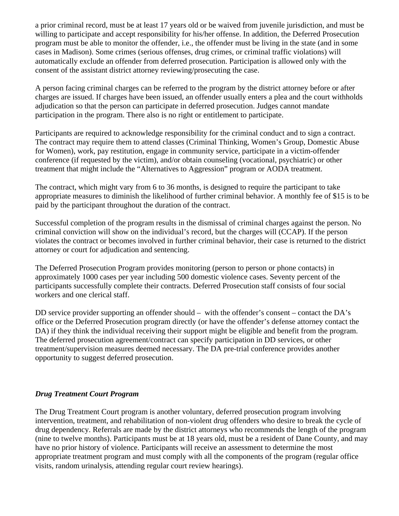a prior criminal record, must be at least 17 years old or be waived from juvenile jurisdiction, and must be willing to participate and accept responsibility for his/her offense. In addition, the Deferred Prosecution program must be able to monitor the offender, i.e., the offender must be living in the state (and in some cases in Madison). Some crimes (serious offenses, drug crimes, or criminal traffic violations) will automatically exclude an offender from deferred prosecution. Participation is allowed only with the consent of the assistant district attorney reviewing/prosecuting the case.

A person facing criminal charges can be referred to the program by the district attorney before or after charges are issued. If charges have been issued, an offender usually enters a plea and the court withholds adjudication so that the person can participate in deferred prosecution. Judges cannot mandate participation in the program. There also is no right or entitlement to participate.

Participants are required to acknowledge responsibility for the criminal conduct and to sign a contract. The contract may require them to attend classes (Criminal Thinking, Women's Group, Domestic Abuse for Women), work, pay restitution, engage in community service, participate in a victim-offender conference (if requested by the victim), and/or obtain counseling (vocational, psychiatric) or other treatment that might include the "Alternatives to Aggression" program or AODA treatment.

The contract, which might vary from 6 to 36 months, is designed to require the participant to take appropriate measures to diminish the likelihood of further criminal behavior. A monthly fee of \$15 is to be paid by the participant throughout the duration of the contract.

Successful completion of the program results in the dismissal of criminal charges against the person. No criminal conviction will show on the individual's record, but the charges will (CCAP). If the person violates the contract or becomes involved in further criminal behavior, their case is returned to the district attorney or court for adjudication and sentencing.

The Deferred Prosecution Program provides monitoring (person to person or phone contacts) in approximately 1000 cases per year including 500 domestic violence cases. Seventy percent of the participants successfully complete their contracts. Deferred Prosecution staff consists of four social workers and one clerical staff.

DD service provider supporting an offender should – with the offender's consent – contact the DA's office or the Deferred Prosecution program directly (or have the offender's defense attorney contact the DA) if they think the individual receiving their support might be eligible and benefit from the program. The deferred prosecution agreement/contract can specify participation in DD services, or other treatment/supervision measures deemed necessary. The DA pre-trial conference provides another opportunity to suggest deferred prosecution.

### *Drug Treatment Court Program*

The Drug Treatment Court program is another voluntary, deferred prosecution program involving intervention, treatment, and rehabilitation of non-violent drug offenders who desire to break the cycle of drug dependency. Referrals are made by the district attorneys who recommends the length of the program (nine to twelve months). Participants must be at 18 years old, must be a resident of Dane County, and may have no prior history of violence. Participants will receive an assessment to determine the most appropriate treatment program and must comply with all the components of the program (regular office visits, random urinalysis, attending regular court review hearings).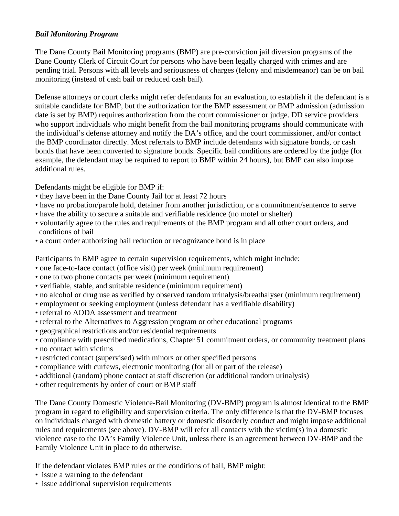### *Bail Monitoring Program*

The Dane County Bail Monitoring programs (BMP) are pre-conviction jail diversion programs of the Dane County Clerk of Circuit Court for persons who have been legally charged with crimes and are pending trial. Persons with all levels and seriousness of charges (felony and misdemeanor) can be on bail monitoring (instead of cash bail or reduced cash bail).

Defense attorneys or court clerks might refer defendants for an evaluation, to establish if the defendant is a suitable candidate for BMP, but the authorization for the BMP assessment or BMP admission (admission date is set by BMP) requires authorization from the court commissioner or judge. DD service providers who support individuals who might benefit from the bail monitoring programs should communicate with the individual's defense attorney and notify the DA's office, and the court commissioner, and/or contact the BMP coordinator directly. Most referrals to BMP include defendants with signature bonds, or cash bonds that have been converted to signature bonds. Specific bail conditions are ordered by the judge (for example, the defendant may be required to report to BMP within 24 hours), but BMP can also impose additional rules.

Defendants might be eligible for BMP if:

- they have been in the Dane County Jail for at least 72 hours
- have no probation/parole hold, detainer from another jurisdiction, or a commitment/sentence to serve
- have the ability to secure a suitable and verifiable residence (no motel or shelter)
- voluntarily agree to the rules and requirements of the BMP program and all other court orders, and conditions of bail
- a court order authorizing bail reduction or recognizance bond is in place

Participants in BMP agree to certain supervision requirements, which might include:

- one face-to-face contact (office visit) per week (minimum requirement)
- one to two phone contacts per week (minimum requirement)
- verifiable, stable, and suitable residence (minimum requirement)
- no alcohol or drug use as verified by observed random urinalysis/breathalyser (minimum requirement)
- employment or seeking employment (unless defendant has a verifiable disability)
- referral to AODA assessment and treatment
- referral to the Alternatives to Aggression program or other educational programs
- geographical restrictions and/or residential requirements
- compliance with prescribed medications, Chapter 51 commitment orders, or community treatment plans
- no contact with victims
- restricted contact (supervised) with minors or other specified persons
- compliance with curfews, electronic monitoring (for all or part of the release)
- additional (random) phone contact at staff discretion (or additional random urinalysis)
- other requirements by order of court or BMP staff

The Dane County Domestic Violence-Bail Monitoring (DV-BMP) program is almost identical to the BMP program in regard to eligibility and supervision criteria. The only difference is that the DV-BMP focuses on individuals charged with domestic battery or domestic disorderly conduct and might impose additional rules and requirements (see above). DV-BMP will refer all contacts with the victim(s) in a domestic violence case to the DA's Family Violence Unit, unless there is an agreement between DV-BMP and the Family Violence Unit in place to do otherwise.

If the defendant violates BMP rules or the conditions of bail, BMP might:

- issue a warning to the defendant
- issue additional supervision requirements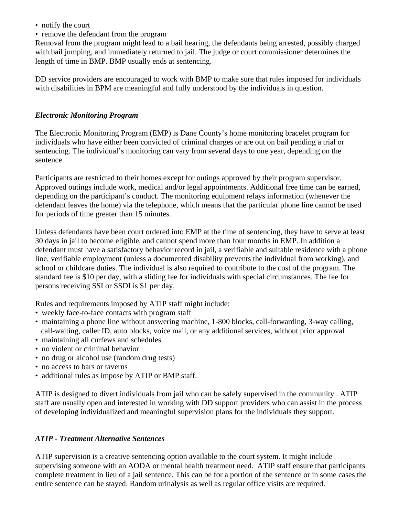- notify the court
- remove the defendant from the program

Removal from the program might lead to a bail hearing, the defendants being arrested, possibly charged with bail jumping, and immediately returned to jail. The judge or court commissioner determines the length of time in BMP. BMP usually ends at sentencing.

DD service providers are encouraged to work with BMP to make sure that rules imposed for individuals with disabilities in BPM are meaningful and fully understood by the individuals in question.

### *Electronic Monitoring Program*

The Electronic Monitoring Program (EMP) is Dane County's home monitoring bracelet program for individuals who have either been convicted of criminal charges or are out on bail pending a trial or sentencing. The individual's monitoring can vary from several days to one year, depending on the sentence.

Participants are restricted to their homes except for outings approved by their program supervisor. Approved outings include work, medical and/or legal appointments. Additional free time can be earned, depending on the participant's conduct. The monitoring equipment relays information (whenever the defendant leaves the home) via the telephone, which means that the particular phone line cannot be used for periods of time greater than 15 minutes.

Unless defendants have been court ordered into EMP at the time of sentencing, they have to serve at least 30 days in jail to become eligible, and cannot spend more than four months in EMP. In addition a defendant must have a satisfactory behavior record in jail, a verifiable and suitable residence with a phone line, verifiable employment (unless a documented disability prevents the individual from working), and school or childcare duties. The individual is also required to contribute to the cost of the program. The standard fee is \$10 per day, with a sliding fee for individuals with special circumstances. The fee for persons receiving SSI or SSDI is \$1 per day.

Rules and requirements imposed by ATIP staff might include:

- weekly face-to-face contacts with program staff
- maintaining a phone line without answering machine, 1-800 blocks, call-forwarding, 3-way calling, call-waiting, caller ID, auto blocks, voice mail, or any additional services, without prior approval
- maintaining all curfews and schedules
- no violent or criminal behavior
- no drug or alcohol use (random drug tests)
- no access to bars or taverns
- additional rules as impose by ATIP or BMP staff.

ATIP is designed to divert individuals from jail who can be safely supervised in the community . ATIP staff are usually open and interested in working with DD support providers who can assist in the process of developing individualized and meaningful supervision plans for the individuals they support.

### *ATIP - Treatment Alternative Sentences*

ATIP supervision is a creative sentencing option available to the court system. It might include supervising someone with an AODA or mental health treatment need. ATIP staff ensure that participants complete treatment in lieu of a jail sentence. This can be for a portion of the sentence or in some cases the entire sentence can be stayed. Random urinalysis as well as regular office visits are required.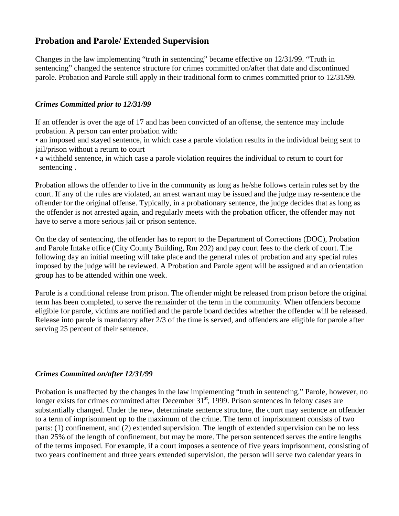# **Probation and Parole/ Extended Supervision**

Changes in the law implementing "truth in sentencing" became effective on 12/31/99. "Truth in sentencing" changed the sentence structure for crimes committed on/after that date and discontinued parole. Probation and Parole still apply in their traditional form to crimes committed prior to 12/31/99.

#### *Crimes Committed prior to 12/31/99*

If an offender is over the age of 17 and has been convicted of an offense, the sentence may include probation. A person can enter probation with:

• an imposed and stayed sentence, in which case a parole violation results in the individual being sent to jail/prison without a return to court

• a withheld sentence, in which case a parole violation requires the individual to return to court for sentencing .

Probation allows the offender to live in the community as long as he/she follows certain rules set by the court. If any of the rules are violated, an arrest warrant may be issued and the judge may re-sentence the offender for the original offense. Typically, in a probationary sentence, the judge decides that as long as the offender is not arrested again, and regularly meets with the probation officer, the offender may not have to serve a more serious jail or prison sentence.

On the day of sentencing, the offender has to report to the Department of Corrections (DOC), Probation and Parole Intake office (City County Building, Rm 202) and pay court fees to the clerk of court. The following day an initial meeting will take place and the general rules of probation and any special rules imposed by the judge will be reviewed. A Probation and Parole agent will be assigned and an orientation group has to be attended within one week.

Parole is a conditional release from prison. The offender might be released from prison before the original term has been completed, to serve the remainder of the term in the community. When offenders become eligible for parole, victims are notified and the parole board decides whether the offender will be released. Release into parole is mandatory after 2/3 of the time is served, and offenders are eligible for parole after serving 25 percent of their sentence.

#### *Crimes Committed on/after 12/31/99*

Probation is unaffected by the changes in the law implementing "truth in sentencing." Parole, however, no longer exists for crimes committed after December 31<sup>st</sup>, 1999. Prison sentences in felony cases are substantially changed. Under the new, determinate sentence structure, the court may sentence an offender to a term of imprisonment up to the maximum of the crime. The term of imprisonment consists of two parts: (1) confinement, and (2) extended supervision. The length of extended supervision can be no less than 25% of the length of confinement, but may be more. The person sentenced serves the entire lengths of the terms imposed. For example, if a court imposes a sentence of five years imprisonment, consisting of two years confinement and three years extended supervision, the person will serve two calendar years in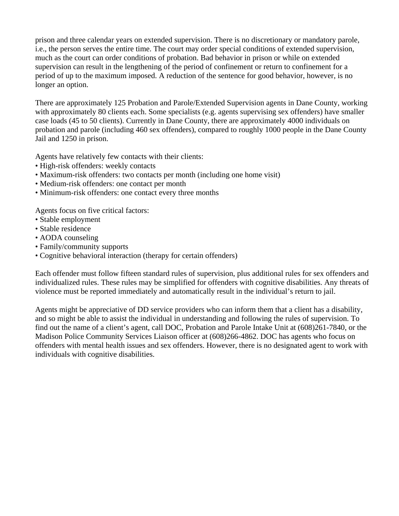prison and three calendar years on extended supervision. There is no discretionary or mandatory parole, i.e., the person serves the entire time. The court may order special conditions of extended supervision, much as the court can order conditions of probation. Bad behavior in prison or while on extended supervision can result in the lengthening of the period of confinement or return to confinement for a period of up to the maximum imposed. A reduction of the sentence for good behavior, however, is no longer an option.

There are approximately 125 Probation and Parole/Extended Supervision agents in Dane County, working with approximately 80 clients each. Some specialists (e.g. agents supervising sex offenders) have smaller case loads (45 to 50 clients). Currently in Dane County, there are approximately 4000 individuals on probation and parole (including 460 sex offenders), compared to roughly 1000 people in the Dane County Jail and 1250 in prison.

Agents have relatively few contacts with their clients:

- High-risk offenders: weekly contacts
- Maximum-risk offenders: two contacts per month (including one home visit)
- Medium-risk offenders: one contact per month
- Minimum-risk offenders: one contact every three months

Agents focus on five critical factors:

- Stable employment
- Stable residence
- AODA counseling
- Family/community supports
- Cognitive behavioral interaction (therapy for certain offenders)

Each offender must follow fifteen standard rules of supervision, plus additional rules for sex offenders and individualized rules. These rules may be simplified for offenders with cognitive disabilities. Any threats of violence must be reported immediately and automatically result in the individual's return to jail.

Agents might be appreciative of DD service providers who can inform them that a client has a disability, and so might be able to assist the individual in understanding and following the rules of supervision. To find out the name of a client's agent, call DOC, Probation and Parole Intake Unit at (608)261-7840, or the Madison Police Community Services Liaison officer at (608)266-4862. DOC has agents who focus on offenders with mental health issues and sex offenders. However, there is no designated agent to work with individuals with cognitive disabilities.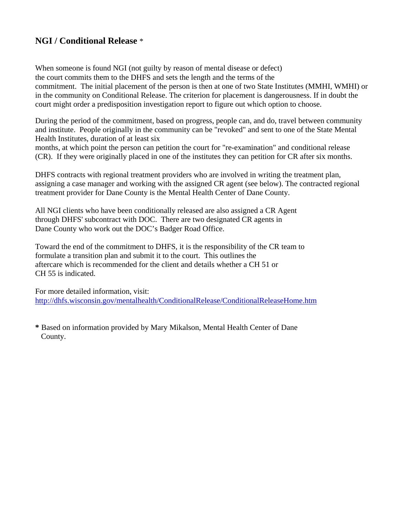# **NGI / Conditional Release** \*

When someone is found NGI (not guilty by reason of mental disease or defect) the court commits them to the DHFS and sets the length and the terms of the commitment. The initial placement of the person is then at one of two State Institutes (MMHI, WMHI) or in the community on Conditional Release. The criterion for placement is dangerousness. If in doubt the court might order a predisposition investigation report to figure out which option to choose.

During the period of the commitment, based on progress, people can, and do, travel between community and institute. People originally in the community can be "revoked" and sent to one of the State Mental Health Institutes, duration of at least six

months, at which point the person can petition the court for "re-examination" and conditional release (CR). If they were originally placed in one of the institutes they can petition for CR after six months.

DHFS contracts with regional treatment providers who are involved in writing the treatment plan, assigning a case manager and working with the assigned CR agent (see below). The contracted regional treatment provider for Dane County is the Mental Health Center of Dane County.

All NGI clients who have been conditionally released are also assigned a CR Agent through DHFS' subcontract with DOC. There are two designated CR agents in Dane County who work out the DOC's Badger Road Office.

Toward the end of the commitment to DHFS, it is the responsibility of the CR team to formulate a transition plan and submit it to the court. This outlines the aftercare which is recommended for the client and details whether a CH 51 or CH 55 is indicated.

For more detailed information, visit: <http://dhfs.wisconsin.gov/mentalhealth/ConditionalRelease/ConditionalReleaseHome.htm>

**\*** Based on information provided by Mary Mikalson, Mental Health Center of Dane County.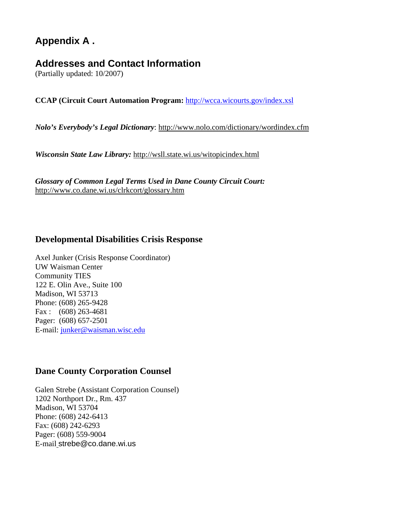# **Appendix A .**

# **Addresses and Contact Information**

(Partially updated: 10/2007)

**CCAP (Circuit Court Automation Program:** <http://wcca.wicourts.gov/index.xsl>

*Nolo's Everybody's Legal Dictionary*:<http://www.nolo.com/dictionary/wordindex.cfm>

*Wisconsin State Law Library:* <http://wsll.state.wi.us/witopicindex.html>

*Glossary of Common Legal Terms Used in Dane County Circuit Court:*  http://www.co.dane.wi.us/clrkcort/glossary.htm

## **Developmental Disabilities Crisis Response**

Axel Junker (Crisis Response Coordinator) UW Waisman Center Community TIES 122 E. Olin Ave., Suite 100 Madison, WI 53713 Phone: (608) 265-9428 Fax : (608) 263-4681 Pager: (608) 657-2501 E-mail: [junker@waisman.wisc.edu](mailto:junker@waisman.wisc.edu)

### **Dane County Corporation Counsel**

Galen Strebe (Assistant Corporation Counsel) 1202 Northport Dr., Rm. 437 Madison, WI 53704 Phone: (608) 242-6413 Fax: (608) 242-6293 Pager: (608) 559-9004 E-mail [strebe@co.dane.wi.us](mailto:strebe@co.dane.wi.us)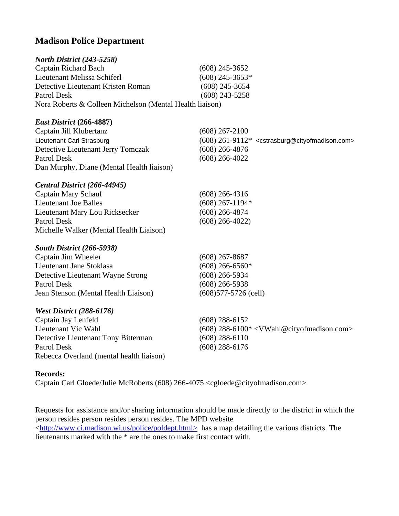# **Madison Police Department**

| North District (243-5258)                                |                                                                               |  |
|----------------------------------------------------------|-------------------------------------------------------------------------------|--|
| <b>Captain Richard Bach</b>                              | $(608)$ 245-3652                                                              |  |
| Lieutenant Melissa Schiferl                              | $(608)$ 245-3653*                                                             |  |
| Detective Lieutenant Kristen Roman                       | $(608)$ 245-3654                                                              |  |
| Patrol Desk                                              | $(608)$ 243-5258                                                              |  |
| Nora Roberts & Colleen Michelson (Mental Health liaison) |                                                                               |  |
| East District (266-4887)                                 |                                                                               |  |
| Captain Jill Klubertanz                                  | $(608)$ 267-2100                                                              |  |
| Lieutenant Carl Strasburg                                | (608) 261-9112* <cstrasburg@cityofmadison.com></cstrasburg@cityofmadison.com> |  |
| Detective Lieutenant Jerry Tomczak                       | $(608)$ 266-4876                                                              |  |
| Patrol Desk                                              | $(608)$ 266-4022                                                              |  |
| Dan Murphy, Diane (Mental Health liaison)                |                                                                               |  |
| Central District (266-44945)                             |                                                                               |  |
| <b>Captain Mary Schauf</b>                               | $(608)$ 266-4316                                                              |  |
| <b>Lieutenant Joe Balles</b>                             | $(608)$ 267-1194*                                                             |  |
| Lieutenant Mary Lou Ricksecker                           | $(608)$ 266-4874                                                              |  |
| <b>Patrol Desk</b>                                       | $(608)$ 266-4022)                                                             |  |
| Michelle Walker (Mental Health Liaison)                  |                                                                               |  |
| South District (266-5938)                                |                                                                               |  |
| Captain Jim Wheeler                                      | $(608)$ 267-8687                                                              |  |
| Lieutenant Jane Stoklasa                                 | $(608)$ 266-6560*                                                             |  |
| Detective Lieutenant Wayne Strong                        | $(608)$ 266-5934                                                              |  |
| <b>Patrol Desk</b>                                       | $(608)$ 266-5938                                                              |  |
| Jean Stenson (Mental Health Liaison)                     | $(608)577 - 5726$ (cell)                                                      |  |
| <b>West District (288-6176)</b>                          |                                                                               |  |
| Captain Jay Lenfeld                                      | $(608)$ 288-6152                                                              |  |
| Lieutenant Vic Wahl                                      | $(608)$ 288-6100* <vwahl@cityofmadison.com></vwahl@cityofmadison.com>         |  |
| Detective Lieutenant Tony Bitterman                      | $(608)$ 288-6110                                                              |  |
| Patrol Desk                                              | $(608)$ 288-6176                                                              |  |
| Rebecca Overland (mental health liaison)                 |                                                                               |  |

#### **Records:**

Captain Carl Gloede/Julie McRoberts (608) 266-4075 <cgloede@cityofmadison.com>

Requests for assistance and/or sharing information should be made directly to the district in which the person resides person resides person resides. The MPD website <<http://www.ci.madison.wi.us/police/poldept.html>> has a map detailing the various districts. The lieutenants marked with the \* are the ones to make first contact with.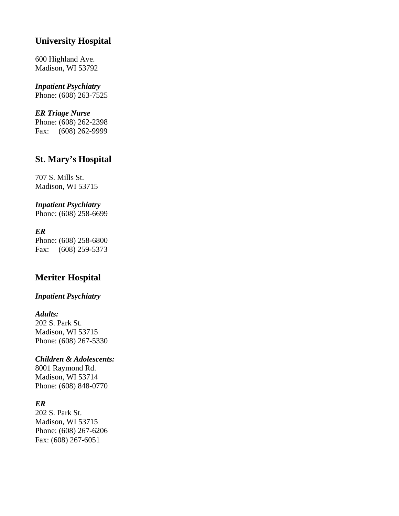# **University Hospital**

600 Highland Ave. Madison, WI 53792

# *Inpatient Psychiatry*

Phone: (608) 263-7525

### *ER Triage Nurse*

Phone: (608) 262-2398 Fax: (608) 262-9999

# **St. Mary's Hospital**

707 S. Mills St. Madison, WI 53715

### *Inpatient Psychiatry*

Phone: (608) 258-6699

### *ER*

Phone: (608) 258-6800 Fax: (608) 259-5373

# **Meriter Hospital**

# *Inpatient Psychiatry*

#### *Adults:*

202 S. Park St. Madison, WI 53715 Phone: (608) 267-5330

## *Children & Adolescents:*

8001 Raymond Rd. Madison, WI 53714 Phone: (608) 848-0770

### *ER*

202 S. Park St. Madison, WI 53715 Phone: (608) 267-6206 Fax: (608) 267-6051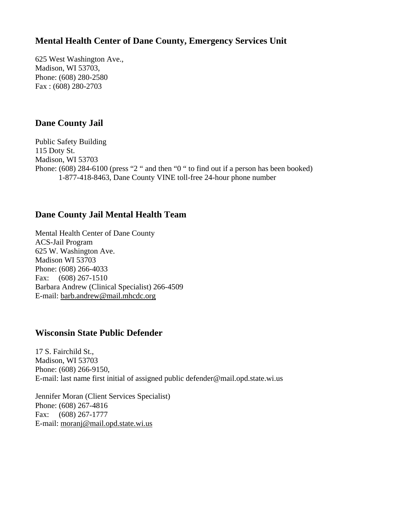# **Mental Health Center of Dane County, Emergency Services Unit**

625 West Washington Ave., Madison, WI 53703, Phone: (608) 280-2580 Fax : (608) 280-2703

# **Dane County Jail**

Public Safety Building 115 Doty St. Madison, WI 53703 Phone: (608) 284-6100 (press "2" and then "0" to find out if a person has been booked) 1-877-418-8463, Dane County VINE toll-free 24-hour phone number

# **Dane County Jail Mental Health Team**

Mental Health Center of Dane County ACS-Jail Program 625 W. Washington Ave. Madison WI 53703 Phone: (608) 266-4033 Fax: (608) 267-1510 Barbara Andrew (Clinical Specialist) 266-4509 E-mail: barb.andrew@mail.mhcdc.org

## **Wisconsin State Public Defender**

17 S. Fairchild St., Madison, WI 53703 Phone: (608) 266-9150, E-mail: last name first initial of assigned public defender@mail.opd.state.wi.us

Jennifer Moran (Client Services Specialist) Phone: (608) 267-4816 Fax: (608) 267-1777 E-mail: moranj@mail.opd.state.wi.us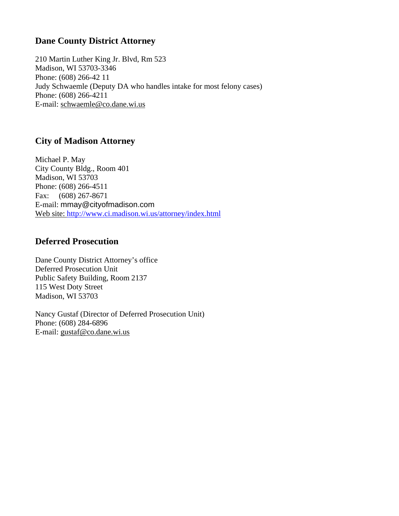# **Dane County District Attorney**

210 Martin Luther King Jr. Blvd, Rm 523 Madison, WI 53703-3346 Phone: (608) 266-42 11 Judy Schwaemle (Deputy DA who handles intake for most felony cases) Phone: (608) 266-4211 E-mail: schwaemle@co.dane.wi.us

# **City of Madison Attorney**

Michael P. May City County Bldg., Room 401 Madison, WI 53703 Phone: (608) 266-4511 Fax: (608) 267-8671 E-mail: [mmay@cityofmadison.com](mailto:mmay@cityofmadison.com) Web site: <http://www.ci.madison.wi.us/attorney/index.html>

## **Deferred Prosecution**

Dane County District Attorney's office Deferred Prosecution Unit Public Safety Building, Room 2137 115 West Doty Street Madison, WI 53703

Nancy Gustaf (Director of Deferred Prosecution Unit) Phone: (608) 284-6896 E-mail: gustaf@co.dane.wi.us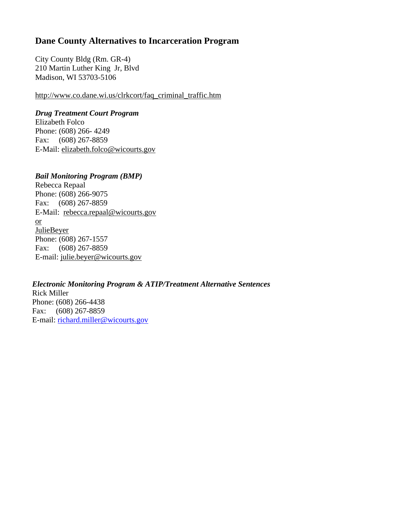# **Dane County Alternatives to Incarceration Program**

City County Bldg (Rm. GR-4) 210 Martin Luther King Jr, Blvd Madison, WI 53703-5106

http://www.co.dane.wi.us/clrkcort/faq\_criminal\_traffic.htm

### *Drug Treatment Court Program*

Elizabeth Folco Phone: (608) 266- 4249 Fax: (608) 267-8859 E-Mail: elizabeth.[folco@wicourts.gov](mailto:Folco@wicourts.gov)

### *Bail Monitoring Program (BMP)*

Rebecca Repaal Phone: (608) 266-9075 Fax: (608) 267-8859 E-Mail: [rebecca.repaal@wicourts.gov](mailto:Rebecca.Repaal@wicourts.gov) or JulieBeyer Phone: (608) 267-1557 Fax: (608) 267-8859 E-mail: julie.beyer@wicourts.gov

*Electronic Monitoring Program & ATIP/Treatment Alternative Sentences*  Rick Miller Phone: (608) 266-4438 Fax: (608) 267-8859 E-mail: [richard.miller@wicourts.gov](mailto:richard.miller@wicourts.gov)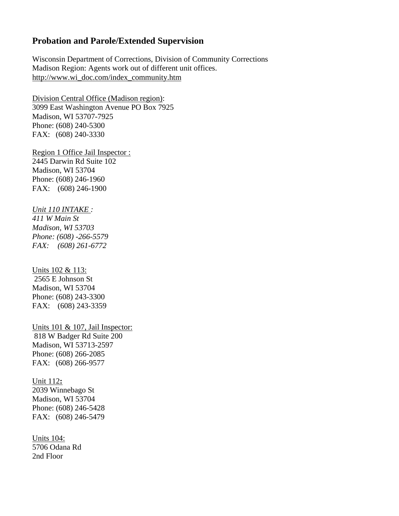### **Probation and Parole/Extended Supervision**

Wisconsin Department of Corrections, Division of Community Corrections Madison Region: Agents work out of different unit offices. [http://www.wi\\_doc.com/index\\_community.htm](http://www.wi-doc.com/index_community.htm)

Division Central Office (Madison region): 3099 East Washington Avenue PO Box 7925 Madison, WI 53707-7925 Phone: (608) 240-5300 FAX: (608) 240-3330

Region 1 Office Jail Inspector : 2445 Darwin Rd Suite 102 Madison, WI 53704 Phone: (608) 246-1960 FAX: (608) 246-1900

*Unit 110 INTAKE : 411 W Main St Madison, WI 53703 Phone: (608) -266-5579 FAX: (608) 261-6772*

Units 102 & 113: 2565 E Johnson St Madison, WI 53704 Phone: (608) 243-3300 FAX: (608) 243-3359

Units 101 & 107, Jail Inspector: 818 W Badger Rd Suite 200 Madison, WI 53713-2597 Phone: (608) 266-2085 FAX: (608) 266-9577

Unit 112**:** 2039 Winnebago St Madison, WI 53704 Phone: (608) 246-5428 FAX: (608) 246-5479

Units 104: 5706 Odana Rd 2nd Floor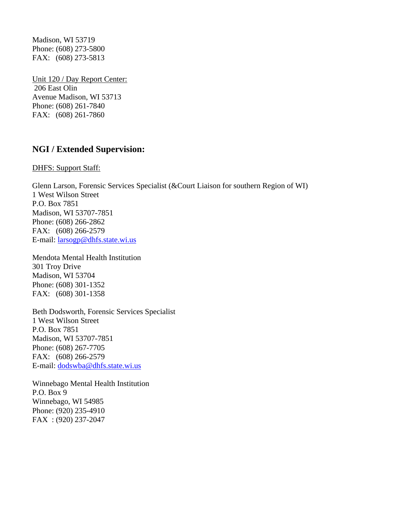Madison, WI 53719 Phone: (608) 273-5800 FAX: (608) 273-5813

Unit 120 / Day Report Center: 206 East Olin Avenue Madison, WI 53713 Phone: (608) 261-7840 FAX: (608) 261-7860

### **NGI / Extended Supervision:**

DHFS: Support Staff:

Glenn Larson, Forensic Services Specialist (&Court Liaison for southern Region of WI) 1 West Wilson Street P.O. Box 7851 Madison, WI 53707-7851 Phone: (608) 266-2862 FAX: (608) 266-2579 E-mail: [larsogp@dhfs.state.wi.us](mailto:larsogp@dhfs.state.wi.us)

Mendota Mental Health Institution 301 Troy Drive Madison, WI 53704 Phone: (608) 301-1352 FAX: (608) 301-1358

Beth Dodsworth, Forensic Services Specialist 1 West Wilson Street P.O. Box 7851 Madison, WI 53707-7851 Phone: (608) 267-7705 FAX: (608) 266-2579 E-mail: [dodswba@dhfs.state.wi.us](mailto:dodswba@dhfs.state.wi.us)

Winnebago Mental Health Institution P.O. Box 9 Winnebago, WI 54985 Phone: (920) 235-4910 FAX : (920) 237-2047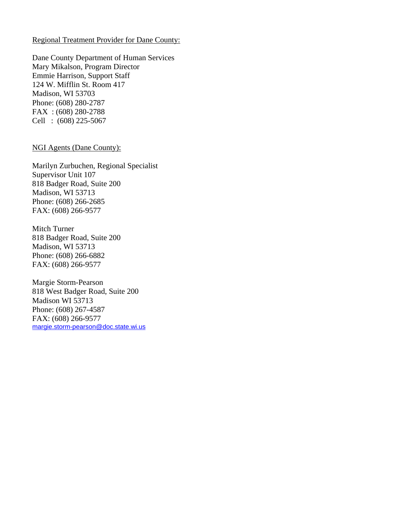#### Regional Treatment Provider for Dane County:

Dane County Department of Human Services Mary Mikalson, Program Director Emmie Harrison, Support Staff 124 W. Mifflin St. Room 417 Madison, WI 53703 Phone: (608) 280-2787 FAX : (608) 280-2788 Cell : (608) 225-5067

#### NGI Agents (Dane County):

Marilyn Zurbuchen, Regional Specialist Supervisor Unit 107 818 Badger Road, Suite 200 Madison, WI 53713 Phone: (608) 266-2685 FAX: (608) 266-9577

Mitch Turner 818 Badger Road, Suite 200 Madison, WI 53713 Phone: (608) 266-6882 FAX: (608) 266-9577

Margie Storm-Pearson 818 West Badger Road, Suite 200 Madison WI 53713 Phone: (608) 267-4587 FAX: (608) 266-9577 [margie.storm-pearson@doc.state.wi.us](mailto:margie.storm-pearson@doc.state.wi.us)